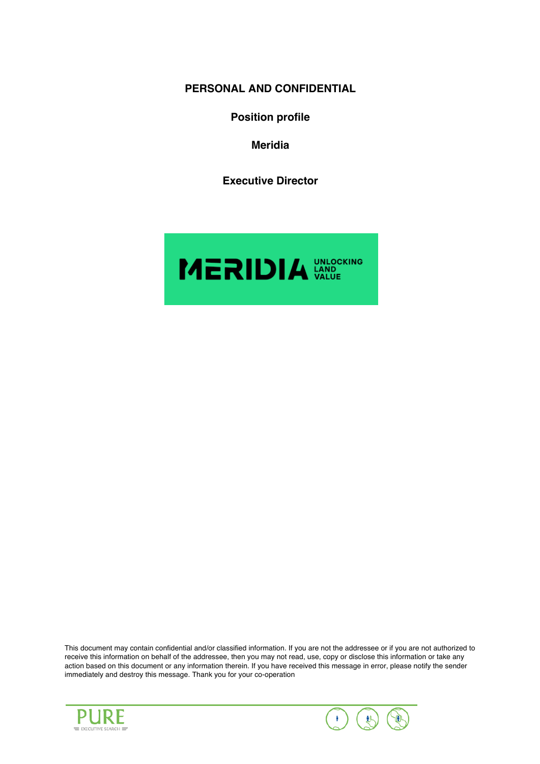**PERSONAL AND CONFIDENTIAL**

**Position profile**

**Meridia**

**Executive Director**



This document may contain confidential and/or classified information. If you are not the addressee or if you are not authorized to receive this information on behalf of the addressee, then you may not read, use, copy or disclose this information or take any action based on this document or any information therein. If you have received this message in error, please notify the sender immediately and destroy this message. Thank you for your co-operation



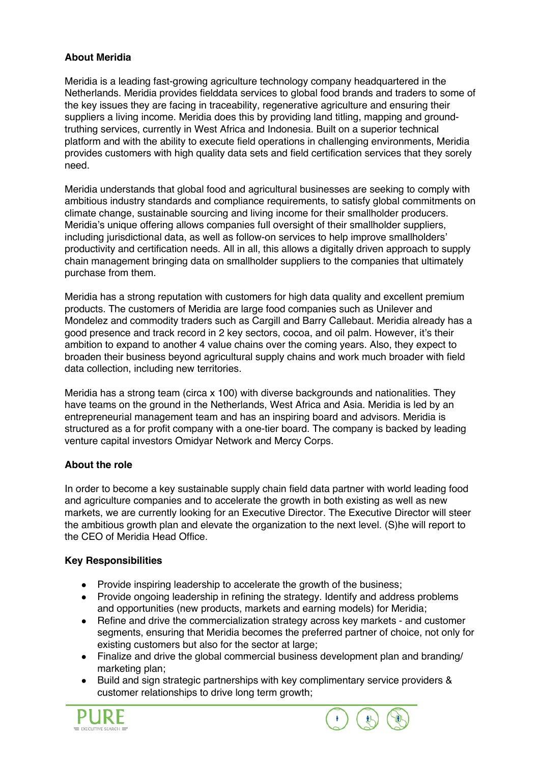# **About Meridia**

Meridia is a leading fast-growing agriculture technology company headquartered in the Netherlands. Meridia provides fielddata services to global food brands and traders to some of the key issues they are facing in traceability, regenerative agriculture and ensuring their suppliers a living income. Meridia does this by providing land titling, mapping and groundtruthing services, currently in West Africa and Indonesia. Built on a superior technical platform and with the ability to execute field operations in challenging environments, Meridia provides customers with high quality data sets and field certification services that they sorely need.

Meridia understands that global food and agricultural businesses are seeking to comply with ambitious industry standards and compliance requirements, to satisfy global commitments on climate change, sustainable sourcing and living income for their smallholder producers. Meridia's unique offering allows companies full oversight of their smallholder suppliers, including jurisdictional data, as well as follow-on services to help improve smallholders' productivity and certification needs. All in all, this allows a digitally driven approach to supply chain management bringing data on smallholder suppliers to the companies that ultimately purchase from them.

Meridia has a strong reputation with customers for high data quality and excellent premium products. The customers of Meridia are large food companies such as Unilever and Mondelez and commodity traders such as Cargill and Barry Callebaut. Meridia already has a good presence and track record in 2 key sectors, cocoa, and oil palm. However, it's their ambition to expand to another 4 value chains over the coming years. Also, they expect to broaden their business beyond agricultural supply chains and work much broader with field data collection, including new territories.

Meridia has a strong team (circa x 100) with diverse backgrounds and nationalities. They have teams on the ground in the Netherlands, West Africa and Asia. Meridia is led by an entrepreneurial management team and has an inspiring board and advisors. Meridia is structured as a for profit company with a one-tier board. The company is backed by leading venture capital investors Omidyar Network and Mercy Corps.

## **About the role**

In order to become a key sustainable supply chain field data partner with world leading food and agriculture companies and to accelerate the growth in both existing as well as new markets, we are currently looking for an Executive Director. The Executive Director will steer the ambitious growth plan and elevate the organization to the next level. (S)he will report to the CEO of Meridia Head Office.

## **Key Responsibilities**

- Provide inspiring leadership to accelerate the growth of the business;
- Provide ongoing leadership in refining the strategy. Identify and address problems and opportunities (new products, markets and earning models) for Meridia;
- Refine and drive the commercialization strategy across key markets and customer segments, ensuring that Meridia becomes the preferred partner of choice, not only for existing customers but also for the sector at large:
- Finalize and drive the global commercial business development plan and branding/ marketing plan;
- Build and sign strategic partnerships with key complimentary service providers & customer relationships to drive long term growth;



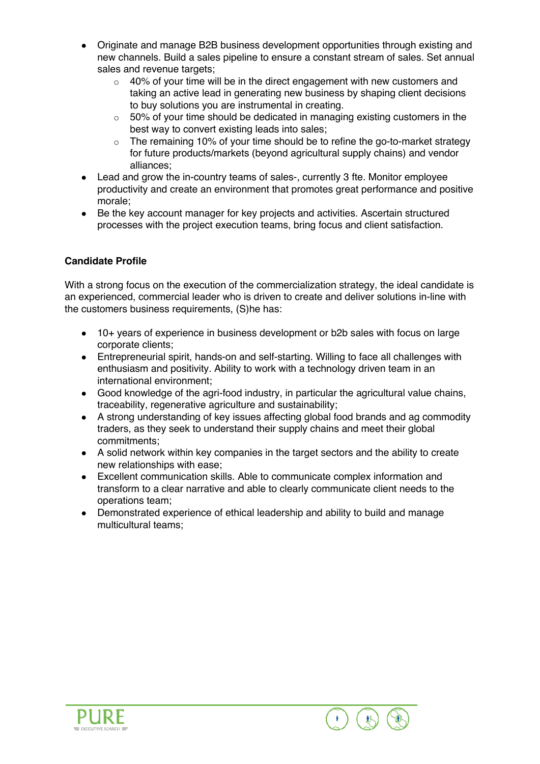- Originate and manage B2B business development opportunities through existing and new channels. Build a sales pipeline to ensure a constant stream of sales. Set annual sales and revenue targets:
	- $\circ$  40% of your time will be in the direct engagement with new customers and taking an active lead in generating new business by shaping client decisions to buy solutions you are instrumental in creating.
	- $\circ$  50% of your time should be dedicated in managing existing customers in the best way to convert existing leads into sales;
	- o The remaining 10% of your time should be to refine the go-to-market strategy for future products/markets (beyond agricultural supply chains) and vendor alliances;
- Lead and grow the in-country teams of sales-, currently 3 fte. Monitor employee productivity and create an environment that promotes great performance and positive morale;
- Be the key account manager for key projects and activities. Ascertain structured processes with the project execution teams, bring focus and client satisfaction.

## **Candidate Profile**

With a strong focus on the execution of the commercialization strategy, the ideal candidate is an experienced, commercial leader who is driven to create and deliver solutions in-line with the customers business requirements, (S)he has:

- 10+ years of experience in business development or b2b sales with focus on large corporate clients;
- Entrepreneurial spirit, hands-on and self-starting. Willing to face all challenges with enthusiasm and positivity. Ability to work with a technology driven team in an international environment;
- Good knowledge of the agri-food industry, in particular the agricultural value chains, traceability, regenerative agriculture and sustainability;
- A strong understanding of key issues affecting global food brands and ag commodity traders, as they seek to understand their supply chains and meet their global commitments;
- A solid network within key companies in the target sectors and the ability to create new relationships with ease;
- Excellent communication skills. Able to communicate complex information and transform to a clear narrative and able to clearly communicate client needs to the operations team;
- Demonstrated experience of ethical leadership and ability to build and manage multicultural teams;